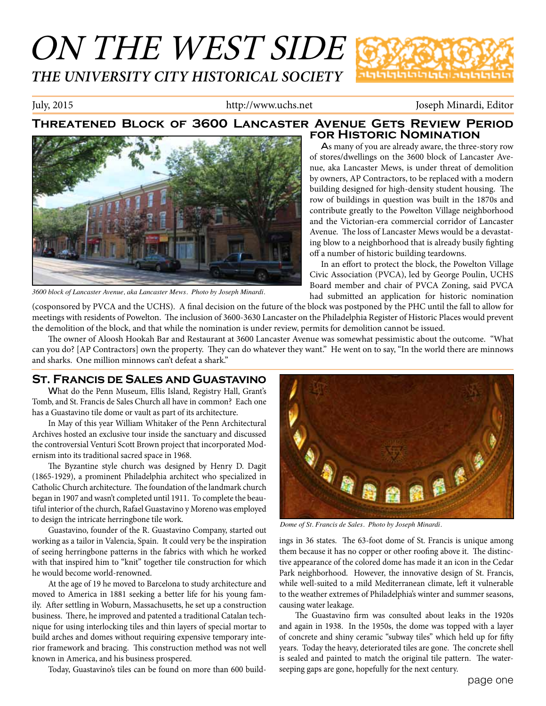# ON THE WEST SIDE *THE UNIVERSITY CITY HISTORICAL SOCIETY* .<br>ภ**เ**ทเทเทเทเทเทเทเทเทเทเ

July, 2015 http://www.uchs.net Joseph Minardi, Editor

#### **Threatened Block of 3600 Lancaster Avenue Gets Review Period for Historic Nomination**



*3600 block of Lancaster Avenue, aka Lancaster Mews. Photo by Joseph Minardi.*

As many of you are already aware, the three-story row of stores/dwellings on the 3600 block of Lancaster Avenue, aka Lancaster Mews, is under threat of demolition by owners, AP Contractors, to be replaced with a modern building designed for high-density student housing. The row of buildings in question was built in the 1870s and contribute greatly to the Powelton Village neighborhood and the Victorian-era commercial corridor of Lancaster Avenue. The loss of Lancaster Mews would be a devastating blow to a neighborhood that is already busily fighting off a number of historic building teardowns.

In an effort to protect the block, the Powelton Village Civic Association (PVCA), led by George Poulin, UCHS Board member and chair of PVCA Zoning, said PVCA had submitted an application for historic nomination

(cosponsored by PVCA and the UCHS). A final decision on the future of the block was postponed by the PHC until the fall to allow for meetings with residents of Powelton. The inclusion of 3600-3630 Lancaster on the Philadelphia Register of Historic Places would prevent the demolition of the block, and that while the nomination is under review, permits for demolition cannot be issued.

The owner of Aloosh Hookah Bar and Restaurant at 3600 Lancaster Avenue was somewhat pessimistic about the outcome. "What can you do? [AP Contractors] own the property. They can do whatever they want." He went on to say, "In the world there are minnows and sharks. One million minnows can't defeat a shark."

#### **St. Francis de Sales and Guastavino**

What do the Penn Museum, Ellis Island, Registry Hall, Grant's Tomb, and St. Francis de Sales Church all have in common? Each one has a Guastavino tile dome or vault as part of its architecture.

In May of this year William Whitaker of the Penn Architectural Archives hosted an exclusive tour inside the sanctuary and discussed the controversial Venturi Scott Brown project that incorporated Modernism into its traditional sacred space in 1968.

The Byzantine style church was designed by Henry D. Dagit (1865-1929), a prominent Philadelphia architect who specialized in Catholic Church architecture. The foundation of the landmark church began in 1907 and wasn't completed until 1911. To complete the beautiful interior of the church, Rafael Guastavino y Moreno was employed to design the intricate herringbone tile work.

Guastavino, founder of the R. Guastavino Company, started out working as a tailor in Valencia, Spain. It could very be the inspiration of seeing herringbone patterns in the fabrics with which he worked with that inspired him to "knit" together tile construction for which he would become world-renowned.

At the age of 19 he moved to Barcelona to study architecture and moved to America in 1881 seeking a better life for his young family. After settling in Woburn, Massachusetts, he set up a construction business. There, he improved and patented a traditional Catalan technique for using interlocking tiles and thin layers of special mortar to build arches and domes without requiring expensive temporary interior framework and bracing. This construction method was not well known in America, and his business prospered.

Today, Guastavino's tiles can be found on more than 600 build-



*Dome of St. Francis de Sales. Photo by Joseph Minardi.*

ings in 36 states. The 63-foot dome of St. Francis is unique among them because it has no copper or other roofing above it. The distinctive appearance of the colored dome has made it an icon in the Cedar Park neighborhood. However, the innovative design of St. Francis, while well-suited to a mild Mediterranean climate, left it vulnerable to the weather extremes of Philadelphia's winter and summer seasons, causing water leakage.

The Guastavino firm was consulted about leaks in the 1920s and again in 1938. In the 1950s, the dome was topped with a layer of concrete and shiny ceramic "subway tiles" which held up for fifty years. Today the heavy, deteriorated tiles are gone. The concrete shell is sealed and painted to match the original tile pattern. The waterseeping gaps are gone, hopefully for the next century.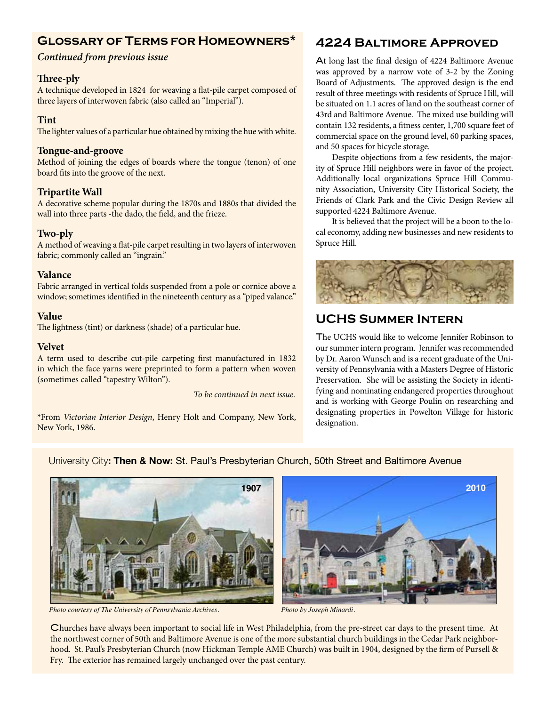#### **Glossary of Terms for Homeowners\***

#### *Continued from previous issue*

#### **Three-ply**

A technique developed in 1824 for weaving a flat-pile carpet composed of three layers of interwoven fabric (also called an "Imperial").

#### **Tint**

The lighter values of a particular hue obtained by mixing the hue with white.

#### **Tongue-and-groove**

Method of joining the edges of boards where the tongue (tenon) of one board fits into the groove of the next.

#### **Tripartite Wall**

A decorative scheme popular during the 1870s and 1880s that divided the wall into three parts -the dado, the field, and the frieze.

#### **Two-ply**

A method of weaving a flat-pile carpet resulting in two layers of interwoven fabric; commonly called an "ingrain."

#### **Valance**

Fabric arranged in vertical folds suspended from a pole or cornice above a window; sometimes identified in the nineteenth century as a "piped valance."

#### **Value**

The lightness (tint) or darkness (shade) of a particular hue.

#### **Velvet**

A term used to describe cut-pile carpeting first manufactured in 1832 in which the face yarns were preprinted to form a pattern when woven (sometimes called "tapestry Wilton").

*To be continued in next issue.*

\*From *Victorian Interior Design*, Henry Holt and Company, New York, New York, 1986.

### **4224 Baltimore Approved**

At long last the final design of 4224 Baltimore Avenue was approved by a narrow vote of 3-2 by the Zoning Board of Adjustments. The approved design is the end result of three meetings with residents of Spruce Hill, will be situated on 1.1 acres of land on the southeast corner of 43rd and Baltimore Avenue. The mixed use building will contain 132 residents, a fitness center, 1,700 square feet of commercial space on the ground level, 60 parking spaces, and 50 spaces for bicycle storage.

Despite objections from a few residents, the majority of Spruce Hill neighbors were in favor of the project. Additionally local organizations Spruce Hill Community Association, University City Historical Society, the Friends of Clark Park and the Civic Design Review all supported 4224 Baltimore Avenue.

It is believed that the project will be a boon to the local economy, adding new businesses and new residents to Spruce Hill.



#### **UCHS Summer Intern**

The UCHS would like to welcome Jennifer Robinson to our summer intern program. Jennifer was recommended by Dr. Aaron Wunsch and is a recent graduate of the University of Pennsylvania with a Masters Degree of Historic Preservation. She will be assisting the Society in identifying and nominating endangered properties throughout and is working with George Poulin on researching and designating properties in Powelton Village for historic designation.

**2010**



*Photo courtesy of The University of Pennsylvania Archives. Photo by Joseph Minardi.*

Churches have always been important to social life in West Philadelphia, from the pre-street car days to the present time. At the northwest corner of 50th and Baltimore Avenue is one of the more substantial church buildings in the Cedar Park neighborhood. St. Paul's Presbyterian Church (now Hickman Temple AME Church) was built in 1904, designed by the firm of Pursell & Fry. The exterior has remained largely unchanged over the past century.

#### University City**: Then & Now:** St. Paul's Presbyterian Church, 50th Street and Baltimore Avenue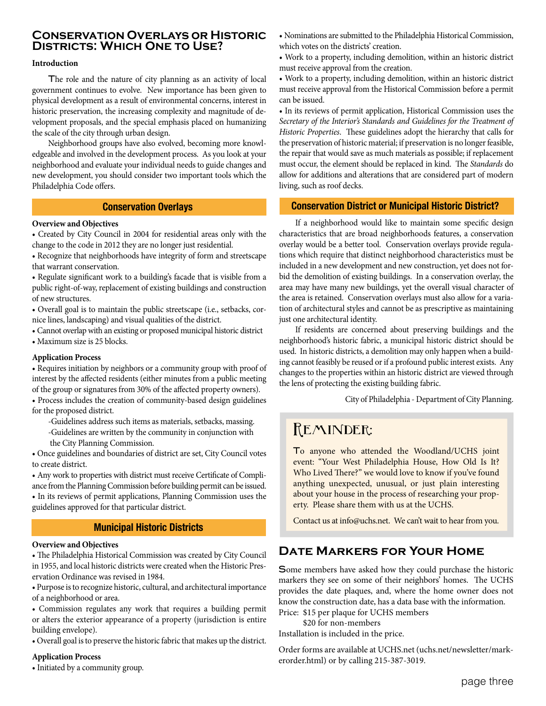#### **Conservation Overlays or Historic Districts: Which One to Use?**

#### **Introduction**

The role and the nature of city planning as an activity of local government continues to evolve. New importance has been given to physical development as a result of environmental concerns, interest in historic preservation, the increasing complexity and magnitude of development proposals, and the special emphasis placed on humanizing the scale of the city through urban design.

Neighborhood groups have also evolved, becoming more knowledgeable and involved in the development process. As you look at your neighborhood and evaluate your individual needs to guide changes and new development, you should consider two important tools which the Philadelphia Code offers.

#### **Conservation Overlays**

#### **Overview and Objectives**

• Created by City Council in 2004 for residential areas only with the change to the code in 2012 they are no longer just residential.

• Recognize that neighborhoods have integrity of form and streetscape that warrant conservation.

• Regulate significant work to a building's facade that is visible from a public right-of-way, replacement of existing buildings and construction of new structures.

• Overall goal is to maintain the public streetscape (i.e., setbacks, cornice lines, landscaping) and visual qualities of the district.

• Cannot overlap with an existing or proposed municipal historic district

• Maximum size is 25 blocks.

#### **Application Process**

• Requires initiation by neighbors or a community group with proof of interest by the affected residents (either minutes from a public meeting of the group or signatures from 30% of the affected property owners).

• Process includes the creation of community-based design guidelines for the proposed district.

-Guidelines address such items as materials, setbacks, massing.

-Guidelines are written by the community in conjunction with the City Planning Commission.

• Once guidelines and boundaries of district are set, City Council votes to create district.

• Any work to properties with district must receive Certificate of Compliance from the Planning Commission before building permit can be issued. • In its reviews of permit applications, Planning Commission uses the guidelines approved for that particular district.

#### **Municipal Historic Districts**

#### **Overview and Objectives**

• The Philadelphia Historical Commission was created by City Council in 1955, and local historic districts were created when the Historic Preservation Ordinance was revised in 1984.

• Purpose is to recognize historic, cultural, and architectural importance of a neighborhood or area.

• Commission regulates any work that requires a building permit or alters the exterior appearance of a property (jurisdiction is entire building envelope).

• Overall goal is to preserve the historic fabric that makes up the district.

#### **Application Process**

• Initiated by a community group.

• Nominations are submitted to the Philadelphia Historical Commission, which votes on the districts' creation.

• Work to a property, including demolition, within an historic district must receive approval from the creation.

• Work to a property, including demolition, within an historic district must receive approval from the Historical Commission before a permit can be issued.

• In its reviews of permit application, Historical Commission uses the *Secretary of the Interior's Standards and Guidelines for the Treatment of Historic Properties*. These guidelines adopt the hierarchy that calls for the preservation of historic material; if preservation is no longer feasible, the repair that would save as much materials as possible; if replacement must occur, the element should be replaced in kind. The *Standards* do allow for additions and alterations that are considered part of modern living, such as roof decks.

#### **Conservation District or Municipal Historic District?**

If a neighborhood would like to maintain some specific design characteristics that are broad neighborhoods features, a conservation overlay would be a better tool. Conservation overlays provide regulations which require that distinct neighborhood characteristics must be included in a new development and new construction, yet does not forbid the demolition of existing buildings. In a conservation overlay, the area may have many new buildings, yet the overall visual character of the area is retained. Conservation overlays must also allow for a variation of architectural styles and cannot be as prescriptive as maintaining just one architectural identity.

If residents are concerned about preserving buildings and the neighborhood's historic fabric, a municipal historic district should be used. In historic districts, a demolition may only happen when a building cannot feasibly be reused or if a profound public interest exists. Any changes to the properties within an historic district are viewed through the lens of protecting the existing building fabric.

City of Philadelphia - Department of City Planning.

## REMINDER:

To anyone who attended the Woodland/UCHS joint event: "Your West Philadelphia House, How Old Is It? Who Lived There?" we would love to know if you've found anything unexpected, unusual, or just plain interesting about your house in the process of researching your property. Please share them with us at the UCHS.

Contact us at info@uchs.net. We can't wait to hear from you.

#### **Date Markers for Your Home**

Some members have asked how they could purchase the historic markers they see on some of their neighbors' homes. The UCHS provides the date plaques, and, where the home owner does not know the construction date, has a data base with the information. Price: \$15 per plaque for UCHS members

\$20 for non-members

Installation is included in the price.

Order forms are available at UCHS.net (uchs.net/newsletter/markerorder.html) or by calling 215-387-3019.